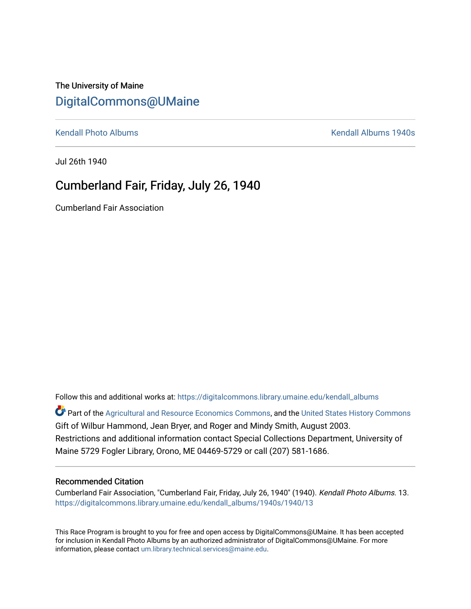## The University of Maine [DigitalCommons@UMaine](https://digitalcommons.library.umaine.edu/)

[Kendall Photo Albums](https://digitalcommons.library.umaine.edu/kendall_albums) **Kendall Albums 1940s Kendall Albums 1940s** 

Jul 26th 1940

## Cumberland Fair, Friday, July 26, 1940

Cumberland Fair Association

Follow this and additional works at: [https://digitalcommons.library.umaine.edu/kendall\\_albums](https://digitalcommons.library.umaine.edu/kendall_albums?utm_source=digitalcommons.library.umaine.edu%2Fkendall_albums%2F1940s%2F1940%2F13&utm_medium=PDF&utm_campaign=PDFCoverPages)  Part of the [Agricultural and Resource Economics Commons,](http://network.bepress.com/hgg/discipline/317?utm_source=digitalcommons.library.umaine.edu%2Fkendall_albums%2F1940s%2F1940%2F13&utm_medium=PDF&utm_campaign=PDFCoverPages) and the [United States History Commons](http://network.bepress.com/hgg/discipline/495?utm_source=digitalcommons.library.umaine.edu%2Fkendall_albums%2F1940s%2F1940%2F13&utm_medium=PDF&utm_campaign=PDFCoverPages) Gift of Wilbur Hammond, Jean Bryer, and Roger and Mindy Smith, August 2003. Restrictions and additional information contact Special Collections Department, University of

Maine 5729 Fogler Library, Orono, ME 04469-5729 or call (207) 581-1686.

## Recommended Citation

Cumberland Fair Association, "Cumberland Fair, Friday, July 26, 1940" (1940). Kendall Photo Albums. 13. [https://digitalcommons.library.umaine.edu/kendall\\_albums/1940s/1940/13](https://digitalcommons.library.umaine.edu/kendall_albums/1940s/1940/13?utm_source=digitalcommons.library.umaine.edu%2Fkendall_albums%2F1940s%2F1940%2F13&utm_medium=PDF&utm_campaign=PDFCoverPages)

This Race Program is brought to you for free and open access by DigitalCommons@UMaine. It has been accepted for inclusion in Kendall Photo Albums by an authorized administrator of DigitalCommons@UMaine. For more information, please contact [um.library.technical.services@maine.edu](mailto:um.library.technical.services@maine.edu).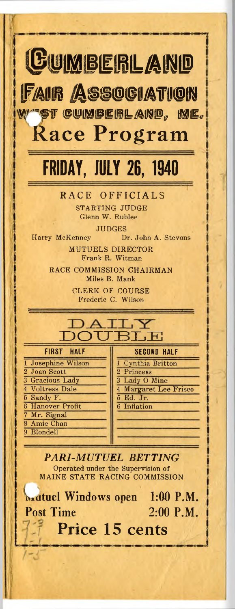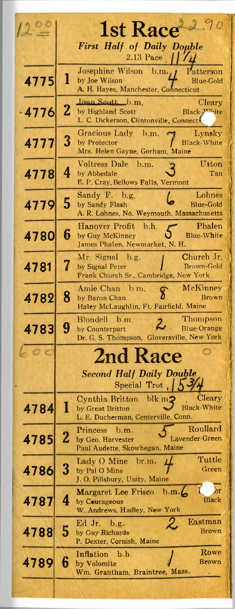|         |          | <b>1st Race</b>                                                                                                               |
|---------|----------|-------------------------------------------------------------------------------------------------------------------------------|
|         |          | <b>First Half of Daily Double</b>                                                                                             |
|         |          | 2.13 Pace $1111$                                                                                                              |
| 4775    | l        | Josephine Wilson b.m.,<br>Patterson<br>by Joe Wilson<br><b>Blue-Gold</b><br>A. H. Hayes, Manchester, Connecticut              |
| $-4776$ | 2        | <b>Joan Scott</b> b.m.<br>Cleary<br>by Highland Scott<br>Black-X <sup>xx</sup> ite<br>L. C. Dickerson, Clintonville, Connects |
| 4777    | 3        | Gracious Lady b.m.<br>Lynsky<br><b>Black-White</b><br>by Protector<br>Mrs. Helen Gayne, Gorham, Maine                         |
| 4778    | 4        | Voltress Dale b.m.<br>Utton<br>by Abbedale<br>Tan<br>E. P. Cray, Bellows Falls, Vermont                                       |
| 4779    | 5        | Lohnes<br>Sandy F. b.g.<br><b>Blue-Gold</b><br>by Sandy Flash<br>A. R. Lohnes, No. Weymouth, Massachus etts                   |
| 4780    | 6        | Phalen<br>Hanover Profit b.h.<br><b>Blue-White</b><br>by Guy McKinney<br>James Phalen, Newmarket, N. H.                       |
| 4781    | 7        | Church Jr.<br>Mr. Signal b.g.<br>Brown-Gold<br>by Signal Peter<br>Frank Church Sr., Cambridge, New York                       |
| 4782    | 8        | McKinney<br>Amie Chan b m.<br>Brown<br>by Baron Chan<br>Haley McLaughlin, Ft. Fairfield, Maine                                |
| 4783    | 9        | Thompson<br>Blondell b.m.<br><b>Blue-Orange</b><br>by Counterpart<br>Dr. G. S. Thompson, Gloversville, New York               |
|         |          | <b>2nd Race</b>                                                                                                               |
|         |          | <b>Second Half Daily Double</b><br>Special Trot, 15.                                                                          |
| 4784    | 1        | Cynthia Britton blk m<br>Uleary<br>Black-White<br>by Great Britton<br>L. E. Ducherman, Centerville, Conn.                     |
| 4785    | $\bf{2}$ | Roullard<br>b.m.<br>Princess<br>Lavender-Green<br>by Geo. Harvester<br>Paul Audette, Skowhegan, Maine                         |
| 4786    | 3        | Tuttle<br>Lady O Mine<br>br.m.<br>Green<br>by Pal O Mine<br>J. O. Pillsbury, Unity, Maine                                     |
| 4787    | 4        | Margaret Lee Frisco b m.<br>er<br>Black<br>by Courageous<br>W. Andrews, Hadley, New York                                      |
| 4788    | 5        | Eastman<br>Ed Jr.<br>b.g.<br>Brown<br>by Guy Richards<br>P. Dexter, Cornish, Maine                                            |
| 4789    | 6        | Rowe<br>Inflation b.h.<br>Brown<br>by Volomite<br>Wm. Grantham, Braintree, Mass.                                              |
|         |          |                                                                                                                               |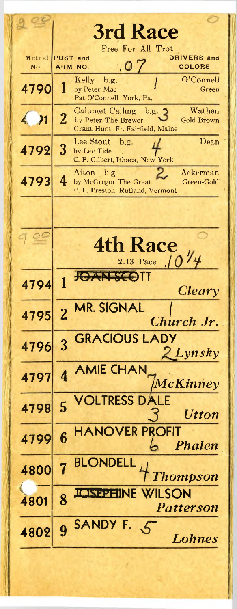|               | <b>3rd Race</b>                                                                                                              |
|---------------|------------------------------------------------------------------------------------------------------------------------------|
| Mutuel<br>No. | Free For All Trot<br>POST and<br><b>DRIVERS</b> and<br>.07<br><b>COLORS</b><br><b>ARM</b><br>NO.                             |
| 4790          | O'Connell<br>Kelly<br>b.g.<br>1<br>by Peter Mac<br>Green<br>Pat O'Connell. York, Pa.                                         |
| 4.21          | Wathen<br>Calumet Calling<br>b.g.<br>$\overline{2}$<br>Gold-Brown<br>by Peter The Brewer<br>Grant Hunt, Ft. Fairfield, Maine |
| 4792          | Dean<br>Lee Stout<br>b.g.<br>3<br>by Lee Tide<br>C. F. Gilbert, Ithaca, New York                                             |
| 4793          | Ackerman<br>Afton<br>b.g.<br>4<br>by McGregor The Great<br>Green-Gold<br>P. L. Preston, Rutland, Vermont                     |
|               |                                                                                                                              |
| 900           | <b>4th Race</b><br>2.13 Pace $1014$                                                                                          |
| 4794          | JOAN SCOTT<br>Cleary                                                                                                         |
| 4795          | <b>MR. SIGNAL</b><br>$\overline{2}$<br>Church Jr.                                                                            |
| 4796          | <b>GRACIOUS LADY</b><br>$\overline{3}$<br>2 Lynsky                                                                           |
| 4797          | 4 AMIE CHAN<br>McKinney                                                                                                      |
| 4798          | <b>VOLTRESS DALE</b><br>5<br><b>Utton</b>                                                                                    |
| 4799          | <b>HANOVER PROFIT</b><br>6<br>Phalen                                                                                         |
| 4800          | <b>BLONDELL</b><br><b>Thompson</b>                                                                                           |
| 4801          | <b>EINE WILSON</b><br>8<br>Patterson                                                                                         |
| 4802          | SANDY F.<br>$\zeta$<br>9<br>Lohnes                                                                                           |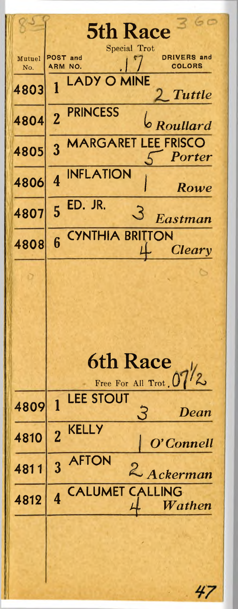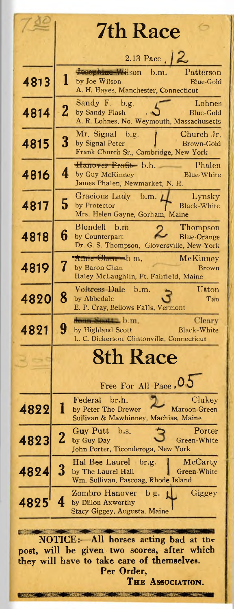|      | <b>7th Race</b>                                                                                                  |
|------|------------------------------------------------------------------------------------------------------------------|
|      | 2.13 Pace $\sqrt{2}$                                                                                             |
|      | dosephine Wilson b.m.<br>Patterson                                                                               |
| 4813 | 1<br>by Joe Wilson<br><b>Blue-Gold</b><br>A. H. Hayes, Manchester, Connecticut                                   |
|      | Sandy F. b.g.<br>Lohnes                                                                                          |
| 4814 | $\overline{2}$<br>by Sandy Flash<br>Blue-Gold<br>A. R. Lohnes, No. Weymouth, Massachusetts                       |
| 4815 | Mr. Signal<br>Church Jr.<br>b.g.<br>3<br>by Signal Peter<br>Brown-Gold<br>Frank Church Sr., Cambridge, New York  |
|      | Hanover Profit b.h.<br>Phalen                                                                                    |
| 4816 | 4<br>by Guy McKinney<br><b>Blue-White</b><br>James Phalen, Newmarket, N. H.                                      |
| 4817 | Gracious Lady b.m.<br>Lynsky<br>5<br>Black-White<br>by Protector                                                 |
|      | Mrs. Helen Gayne, Gorham, Maine                                                                                  |
| 4818 | <b>Blondell</b><br>h.m<br>Thompson<br>6<br>by Counterpart<br><b>Blue-Orange</b>                                  |
|      | Dr. G. S. Thompson, Gloversville, New York<br><del>Anne Olmu - b</del> m.<br>McKinney                            |
| 4819 | 7<br>by Baron Chan<br>Brown<br>Haley McLaughlin, Ft. Fairfield, Maine                                            |
| 4820 | Voltress Dale b.m.<br>Utton<br>8<br>by Abbedale<br>Tan                                                           |
|      | E. P. Cray, Bellows Falls, Vermont                                                                               |
| 4821 | boan Soutt b.m.<br>Cleary<br>9<br>Black-White<br>by Highland Scott<br>L. C. Dickerson, Clintonville, Connecticut |
|      | <b>8th Race</b>                                                                                                  |
|      |                                                                                                                  |
|      | Free For All Pace, 05                                                                                            |
| 4822 | Federal<br>br.h.<br>Clukey<br>1<br>by Peter The Brewer<br>Maroon-Green<br>Sullivan & Mawhinney, Machias, Maine   |
|      | Porter<br>Guy Putt<br>b.s.                                                                                       |
| 4823 | $\mathbf 2$<br>Green-White<br>by Guy Day<br>John Porter, Ticonderoga, New York                                   |
| 4824 | Hal Bee Laurel br.g.<br>McCarty<br>3<br>by The Laurel Hall<br>Green-White<br>Wm. Sullivan, Pascoag, Rhode Island |
| 4825 | Zombro Hanover<br>Giggey<br>$b$ g.<br>4<br>by Dillon Axworthy                                                    |
|      | Stacy Giggey, Augusta, Maine                                                                                     |
|      |                                                                                                                  |
|      | -All<br><b>NOTICE:-</b><br>horses acting bad<br>at the                                                           |
|      | post, will be given two scores, after which<br>they will have to take care of themselves.                        |
|      | Per Order,                                                                                                       |
|      | THE ASSOCIATION.                                                                                                 |
|      | 一、相关                                                                                                             |